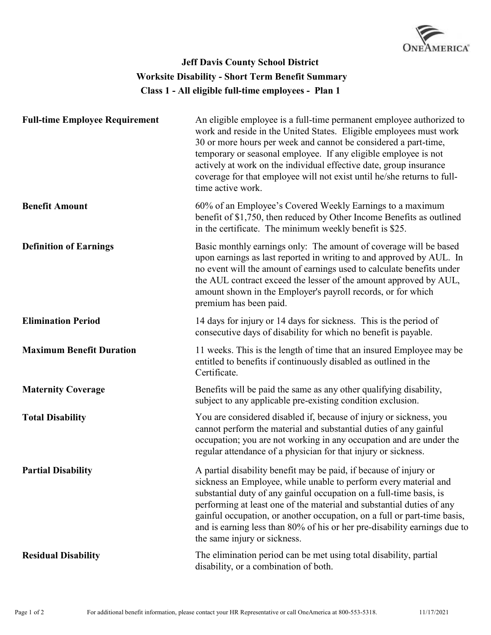

## **Class 1 - All eligible full-time employees - Plan 1 Jeff Davis County School District Worksite Disability - Short Term Benefit Summary**

| <b>Full-time Employee Requirement</b> | An eligible employee is a full-time permanent employee authorized to<br>work and reside in the United States. Eligible employees must work<br>30 or more hours per week and cannot be considered a part-time,<br>temporary or seasonal employee. If any eligible employee is not<br>actively at work on the individual effective date, group insurance<br>coverage for that employee will not exist until he/she returns to full-<br>time active work.                         |
|---------------------------------------|--------------------------------------------------------------------------------------------------------------------------------------------------------------------------------------------------------------------------------------------------------------------------------------------------------------------------------------------------------------------------------------------------------------------------------------------------------------------------------|
| <b>Benefit Amount</b>                 | 60% of an Employee's Covered Weekly Earnings to a maximum<br>benefit of \$1,750, then reduced by Other Income Benefits as outlined<br>in the certificate. The minimum weekly benefit is \$25.                                                                                                                                                                                                                                                                                  |
| <b>Definition of Earnings</b>         | Basic monthly earnings only: The amount of coverage will be based<br>upon earnings as last reported in writing to and approved by AUL. In<br>no event will the amount of earnings used to calculate benefits under<br>the AUL contract exceed the lesser of the amount approved by AUL,<br>amount shown in the Employer's payroll records, or for which<br>premium has been paid.                                                                                              |
| <b>Elimination Period</b>             | 14 days for injury or 14 days for sickness. This is the period of<br>consecutive days of disability for which no benefit is payable.                                                                                                                                                                                                                                                                                                                                           |
| <b>Maximum Benefit Duration</b>       | 11 weeks. This is the length of time that an insured Employee may be<br>entitled to benefits if continuously disabled as outlined in the<br>Certificate.                                                                                                                                                                                                                                                                                                                       |
| <b>Maternity Coverage</b>             | Benefits will be paid the same as any other qualifying disability,<br>subject to any applicable pre-existing condition exclusion.                                                                                                                                                                                                                                                                                                                                              |
| <b>Total Disability</b>               | You are considered disabled if, because of injury or sickness, you<br>cannot perform the material and substantial duties of any gainful<br>occupation; you are not working in any occupation and are under the<br>regular attendance of a physician for that injury or sickness.                                                                                                                                                                                               |
| <b>Partial Disability</b>             | A partial disability benefit may be paid, if because of injury or<br>sickness an Employee, while unable to perform every material and<br>substantial duty of any gainful occupation on a full-time basis, is<br>performing at least one of the material and substantial duties of any<br>gainful occupation, or another occupation, on a full or part-time basis,<br>and is earning less than 80% of his or her pre-disability earnings due to<br>the same injury or sickness. |
| <b>Residual Disability</b>            | The elimination period can be met using total disability, partial<br>disability, or a combination of both.                                                                                                                                                                                                                                                                                                                                                                     |